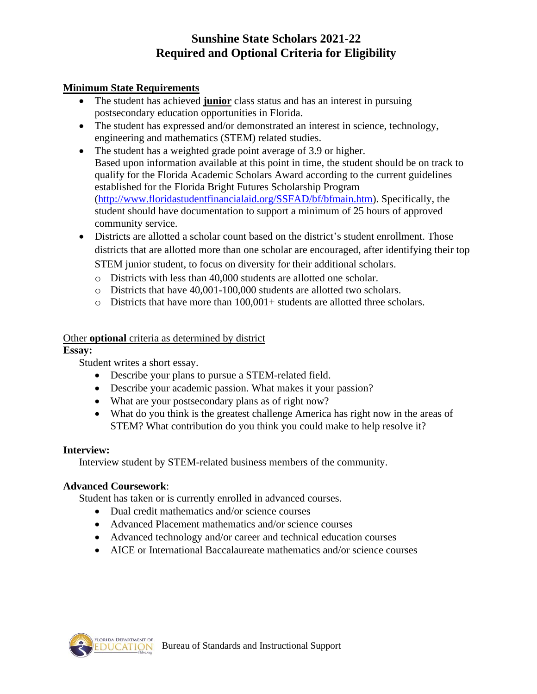# **Sunshine State Scholars 2021-22 Required and Optional Criteria for Eligibility**

### **Minimum State Requirements**

- The student has achieved **junior** class status and has an interest in pursuing postsecondary education opportunities in Florida.
- The student has expressed and/or demonstrated an interest in science, technology, engineering and mathematics (STEM) related studies.
- The student has a weighted grade point average of 3.9 or higher. Based upon information available at this point in time, the student should be on track to qualify for the Florida Academic Scholars Award according to the current guidelines established for the Florida Bright Futures Scholarship Program [\(http://www.floridastudentfinancialaid.org/SSFAD/bf/bfmain.htm\)](http://www.floridastudentfinancialaid.org/SSFAD/bf/bfmain.htm). Specifically, the student should have documentation to support a minimum of 25 hours of approved community service.
- Districts are allotted a scholar count based on the district's student enrollment. Those districts that are allotted more than one scholar are encouraged, after identifying their top STEM junior student, to focus on diversity for their additional scholars.
	- o Districts with less than 40,000 students are allotted one scholar.
	- o Districts that have 40,001-100,000 students are allotted two scholars.
	- $\circ$  Districts that have more than 100,001+ students are allotted three scholars.

#### Other **optional** criteria as determined by district

### **Essay:**

Student writes a short essay.

- Describe your plans to pursue a STEM-related field.
- Describe your academic passion. What makes it your passion?
- What are your postsecondary plans as of right now?
- What do you think is the greatest challenge America has right now in the areas of STEM? What contribution do you think you could make to help resolve it?

#### **Interview:**

Interview student by STEM-related business members of the community.

## **Advanced Coursework**:

Student has taken or is currently enrolled in advanced courses.

- Dual credit mathematics and/or science courses
- Advanced Placement mathematics and/or science courses
- Advanced technology and/or career and technical education courses
- AICE or International Baccalaureate mathematics and/or science courses